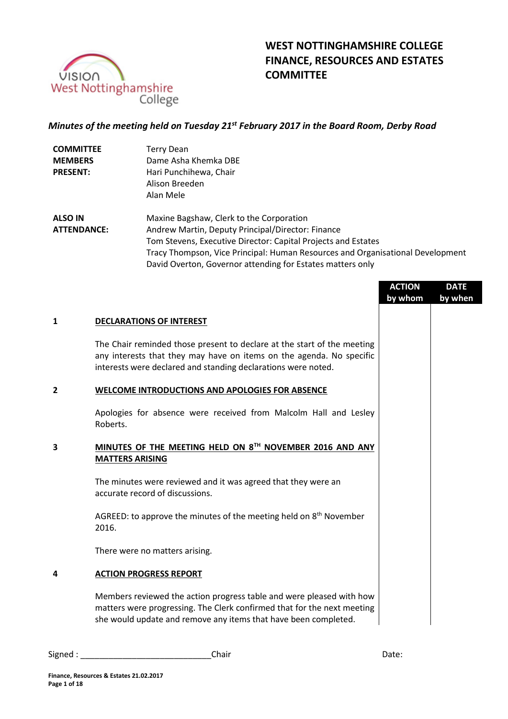

# **WEST NOTTINGHAMSHIRE COLLEGE FINANCE, RESOURCES AND ESTATES COMMITTEE**

# *Minutes of the meeting held on Tuesday 21st February 2017 in the Board Room, Derby Road*

| <b>COMMITTEE</b> | <b>Terry Dean</b>      |
|------------------|------------------------|
| <b>MEMBERS</b>   | Dame Asha Khemka DBE   |
| <b>PRESENT:</b>  | Hari Punchihewa, Chair |
|                  | Alison Breeden         |
|                  | Alan Mele              |

**ALSO IN ATTENDANCE:** Maxine Bagshaw, Clerk to the Corporation Andrew Martin, Deputy Principal/Director: Finance Tom Stevens, Executive Director: Capital Projects and Estates Tracy Thompson, Vice Principal: Human Resources and Organisational Development David Overton, Governor attending for Estates matters only

|              |                                                                                                                                                                                                                    | <b>ACTION</b><br>by whom | <b>DATE</b><br>by when |
|--------------|--------------------------------------------------------------------------------------------------------------------------------------------------------------------------------------------------------------------|--------------------------|------------------------|
| $\mathbf{1}$ | <b>DECLARATIONS OF INTEREST</b>                                                                                                                                                                                    |                          |                        |
|              | The Chair reminded those present to declare at the start of the meeting<br>any interests that they may have on items on the agenda. No specific<br>interests were declared and standing declarations were noted.   |                          |                        |
| $\mathbf{2}$ | <b>WELCOME INTRODUCTIONS AND APOLOGIES FOR ABSENCE</b>                                                                                                                                                             |                          |                        |
|              | Apologies for absence were received from Malcolm Hall and Lesley<br>Roberts.                                                                                                                                       |                          |                        |
| 3            | MINUTES OF THE MEETING HELD ON 8TH NOVEMBER 2016 AND ANY<br><b>MATTERS ARISING</b>                                                                                                                                 |                          |                        |
|              | The minutes were reviewed and it was agreed that they were an<br>accurate record of discussions.                                                                                                                   |                          |                        |
|              | AGREED: to approve the minutes of the meeting held on 8 <sup>th</sup> November<br>2016.                                                                                                                            |                          |                        |
|              | There were no matters arising.                                                                                                                                                                                     |                          |                        |
| 4            | <b>ACTION PROGRESS REPORT</b>                                                                                                                                                                                      |                          |                        |
|              | Members reviewed the action progress table and were pleased with how<br>matters were progressing. The Clerk confirmed that for the next meeting<br>she would update and remove any items that have been completed. |                          |                        |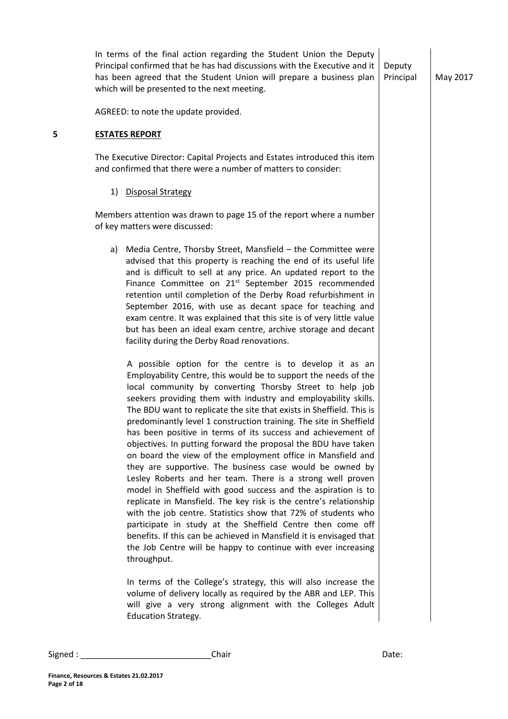|   | In terms of the final action regarding the Student Union the Deputy<br>Principal confirmed that he has had discussions with the Executive and it<br>has been agreed that the Student Union will prepare a business plan<br>which will be presented to the next meeting.                                                                                                                                                                                                                                                                                                                                                                                                                                                                                                                                                                                                                                                                                                                                                                                                                                                                                       | Deputy<br>Principal | May 2017 |
|---|---------------------------------------------------------------------------------------------------------------------------------------------------------------------------------------------------------------------------------------------------------------------------------------------------------------------------------------------------------------------------------------------------------------------------------------------------------------------------------------------------------------------------------------------------------------------------------------------------------------------------------------------------------------------------------------------------------------------------------------------------------------------------------------------------------------------------------------------------------------------------------------------------------------------------------------------------------------------------------------------------------------------------------------------------------------------------------------------------------------------------------------------------------------|---------------------|----------|
|   | AGREED: to note the update provided.                                                                                                                                                                                                                                                                                                                                                                                                                                                                                                                                                                                                                                                                                                                                                                                                                                                                                                                                                                                                                                                                                                                          |                     |          |
| 5 | <b>ESTATES REPORT</b>                                                                                                                                                                                                                                                                                                                                                                                                                                                                                                                                                                                                                                                                                                                                                                                                                                                                                                                                                                                                                                                                                                                                         |                     |          |
|   | The Executive Director: Capital Projects and Estates introduced this item<br>and confirmed that there were a number of matters to consider:                                                                                                                                                                                                                                                                                                                                                                                                                                                                                                                                                                                                                                                                                                                                                                                                                                                                                                                                                                                                                   |                     |          |
|   | 1) Disposal Strategy                                                                                                                                                                                                                                                                                                                                                                                                                                                                                                                                                                                                                                                                                                                                                                                                                                                                                                                                                                                                                                                                                                                                          |                     |          |
|   | Members attention was drawn to page 15 of the report where a number<br>of key matters were discussed:                                                                                                                                                                                                                                                                                                                                                                                                                                                                                                                                                                                                                                                                                                                                                                                                                                                                                                                                                                                                                                                         |                     |          |
|   | a) Media Centre, Thorsby Street, Mansfield - the Committee were<br>advised that this property is reaching the end of its useful life<br>and is difficult to sell at any price. An updated report to the<br>Finance Committee on 21 <sup>st</sup> September 2015 recommended<br>retention until completion of the Derby Road refurbishment in<br>September 2016, with use as decant space for teaching and<br>exam centre. It was explained that this site is of very little value<br>but has been an ideal exam centre, archive storage and decant<br>facility during the Derby Road renovations.                                                                                                                                                                                                                                                                                                                                                                                                                                                                                                                                                             |                     |          |
|   | A possible option for the centre is to develop it as an<br>Employability Centre, this would be to support the needs of the<br>local community by converting Thorsby Street to help job<br>seekers providing them with industry and employability skills.<br>The BDU want to replicate the site that exists in Sheffield. This is<br>predominantly level 1 construction training. The site in Sheffield<br>has been positive in terms of its success and achievement of<br>objectives. In putting forward the proposal the BDU have taken<br>on board the view of the employment office in Mansfield and<br>they are supportive. The business case would be owned by<br>Lesley Roberts and her team. There is a strong well proven<br>model in Sheffield with good success and the aspiration is to<br>replicate in Mansfield. The key risk is the centre's relationship<br>with the job centre. Statistics show that 72% of students who<br>participate in study at the Sheffield Centre then come off<br>benefits. If this can be achieved in Mansfield it is envisaged that<br>the Job Centre will be happy to continue with ever increasing<br>throughput. |                     |          |
|   | In terms of the College's strategy, this will also increase the<br>volume of delivery locally as required by the ABR and LEP. This<br>will give a very strong alignment with the Colleges Adult<br><b>Education Strategy.</b>                                                                                                                                                                                                                                                                                                                                                                                                                                                                                                                                                                                                                                                                                                                                                                                                                                                                                                                                 |                     |          |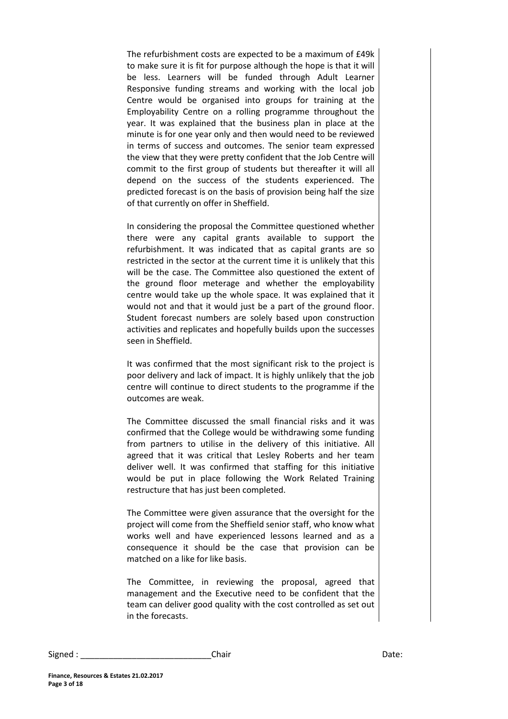The refurbishment costs are expected to be a maximum of £49k to make sure it is fit for purpose although the hope is that it will be less. Learners will be funded through Adult Learner Responsive funding streams and working with the local job Centre would be organised into groups for training at the Employability Centre on a rolling programme throughout the year. It was explained that the business plan in place at the minute is for one year only and then would need to be reviewed in terms of success and outcomes. The senior team expressed the view that they were pretty confident that the Job Centre will commit to the first group of students but thereafter it will all depend on the success of the students experienced. The predicted forecast is on the basis of provision being half the size of that currently on offer in Sheffield.

In considering the proposal the Committee questioned whether there were any capital grants available to support the refurbishment. It was indicated that as capital grants are so restricted in the sector at the current time it is unlikely that this will be the case. The Committee also questioned the extent of the ground floor meterage and whether the employability centre would take up the whole space. It was explained that it would not and that it would just be a part of the ground floor. Student forecast numbers are solely based upon construction activities and replicates and hopefully builds upon the successes seen in Sheffield.

It was confirmed that the most significant risk to the project is poor delivery and lack of impact. It is highly unlikely that the job centre will continue to direct students to the programme if the outcomes are weak.

The Committee discussed the small financial risks and it was confirmed that the College would be withdrawing some funding from partners to utilise in the delivery of this initiative. All agreed that it was critical that Lesley Roberts and her team deliver well. It was confirmed that staffing for this initiative would be put in place following the Work Related Training restructure that has just been completed.

The Committee were given assurance that the oversight for the project will come from the Sheffield senior staff, who know what works well and have experienced lessons learned and as a consequence it should be the case that provision can be matched on a like for like basis.

The Committee, in reviewing the proposal, agreed that management and the Executive need to be confident that the team can deliver good quality with the cost controlled as set out in the forecasts.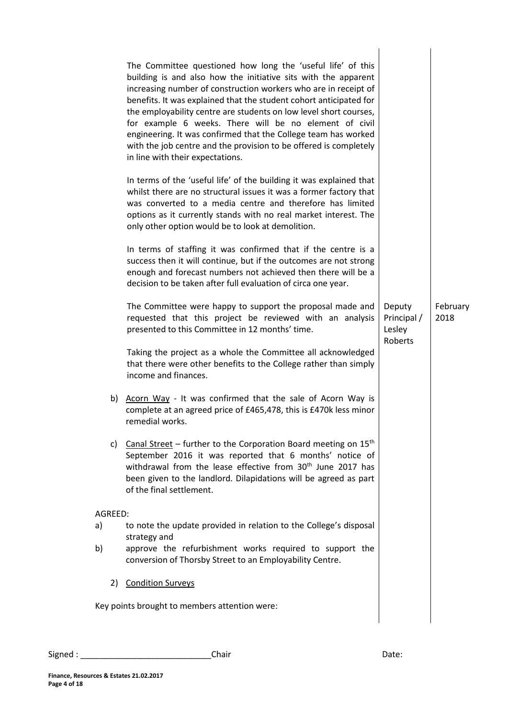|         | The Committee questioned how long the 'useful life' of this<br>building is and also how the initiative sits with the apparent<br>increasing number of construction workers who are in receipt of<br>benefits. It was explained that the student cohort anticipated for<br>the employability centre are students on low level short courses,<br>for example 6 weeks. There will be no element of civil<br>engineering. It was confirmed that the College team has worked<br>with the job centre and the provision to be offered is completely<br>in line with their expectations. |                                            |                  |
|---------|----------------------------------------------------------------------------------------------------------------------------------------------------------------------------------------------------------------------------------------------------------------------------------------------------------------------------------------------------------------------------------------------------------------------------------------------------------------------------------------------------------------------------------------------------------------------------------|--------------------------------------------|------------------|
|         | In terms of the 'useful life' of the building it was explained that<br>whilst there are no structural issues it was a former factory that<br>was converted to a media centre and therefore has limited<br>options as it currently stands with no real market interest. The<br>only other option would be to look at demolition.                                                                                                                                                                                                                                                  |                                            |                  |
|         | In terms of staffing it was confirmed that if the centre is a<br>success then it will continue, but if the outcomes are not strong<br>enough and forecast numbers not achieved then there will be a<br>decision to be taken after full evaluation of circa one year.                                                                                                                                                                                                                                                                                                             |                                            |                  |
|         | The Committee were happy to support the proposal made and<br>requested that this project be reviewed with an analysis<br>presented to this Committee in 12 months' time.                                                                                                                                                                                                                                                                                                                                                                                                         | Deputy<br>Principal /<br>Lesley<br>Roberts | February<br>2018 |
|         | Taking the project as a whole the Committee all acknowledged<br>that there were other benefits to the College rather than simply<br>income and finances.                                                                                                                                                                                                                                                                                                                                                                                                                         |                                            |                  |
|         | b) Acorn Way - It was confirmed that the sale of Acorn Way is<br>complete at an agreed price of £465,478, this is £470k less minor<br>remedial works.                                                                                                                                                                                                                                                                                                                                                                                                                            |                                            |                  |
|         | c) Canal Street – further to the Corporation Board meeting on $15th$<br>September 2016 it was reported that 6 months' notice of<br>withdrawal from the lease effective from 30 <sup>th</sup> June 2017 has<br>been given to the landlord. Dilapidations will be agreed as part<br>of the final settlement.                                                                                                                                                                                                                                                                       |                                            |                  |
| AGREED: |                                                                                                                                                                                                                                                                                                                                                                                                                                                                                                                                                                                  |                                            |                  |
| a)      | to note the update provided in relation to the College's disposal<br>strategy and                                                                                                                                                                                                                                                                                                                                                                                                                                                                                                |                                            |                  |
| b)      | approve the refurbishment works required to support the<br>conversion of Thorsby Street to an Employability Centre.                                                                                                                                                                                                                                                                                                                                                                                                                                                              |                                            |                  |
|         | 2) Condition Surveys                                                                                                                                                                                                                                                                                                                                                                                                                                                                                                                                                             |                                            |                  |
|         | Key points brought to members attention were:                                                                                                                                                                                                                                                                                                                                                                                                                                                                                                                                    |                                            |                  |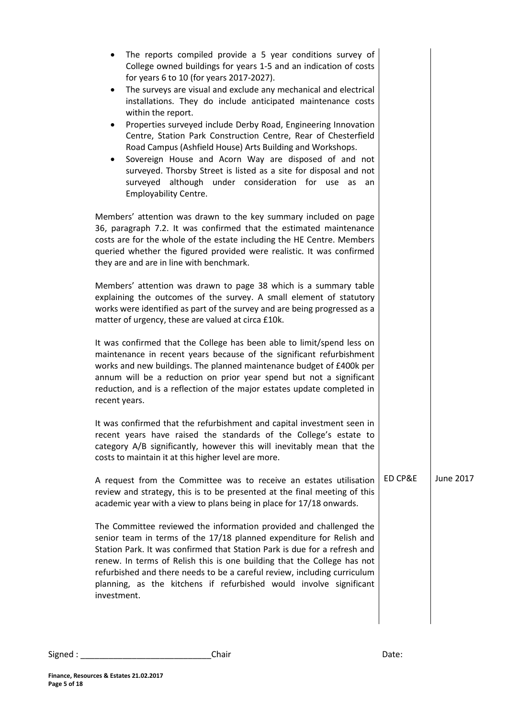| The reports compiled provide a 5 year conditions survey of<br>College owned buildings for years 1-5 and an indication of costs<br>for years 6 to 10 (for years 2017-2027).<br>The surveys are visual and exclude any mechanical and electrical<br>٠<br>installations. They do include anticipated maintenance costs<br>within the report.<br>Properties surveyed include Derby Road, Engineering Innovation<br>$\bullet$<br>Centre, Station Park Construction Centre, Rear of Chesterfield<br>Road Campus (Ashfield House) Arts Building and Workshops.<br>Sovereign House and Acorn Way are disposed of and not<br>$\bullet$<br>surveyed. Thorsby Street is listed as a site for disposal and not<br>surveyed although under consideration for use as<br>an<br><b>Employability Centre.</b> |         |           |
|----------------------------------------------------------------------------------------------------------------------------------------------------------------------------------------------------------------------------------------------------------------------------------------------------------------------------------------------------------------------------------------------------------------------------------------------------------------------------------------------------------------------------------------------------------------------------------------------------------------------------------------------------------------------------------------------------------------------------------------------------------------------------------------------|---------|-----------|
| Members' attention was drawn to the key summary included on page<br>36, paragraph 7.2. It was confirmed that the estimated maintenance<br>costs are for the whole of the estate including the HE Centre. Members<br>queried whether the figured provided were realistic. It was confirmed<br>they are and are in line with benchmark.                                                                                                                                                                                                                                                                                                                                                                                                                                                        |         |           |
| Members' attention was drawn to page 38 which is a summary table<br>explaining the outcomes of the survey. A small element of statutory<br>works were identified as part of the survey and are being progressed as a<br>matter of urgency, these are valued at circa £10k.                                                                                                                                                                                                                                                                                                                                                                                                                                                                                                                   |         |           |
| It was confirmed that the College has been able to limit/spend less on<br>maintenance in recent years because of the significant refurbishment<br>works and new buildings. The planned maintenance budget of £400k per<br>annum will be a reduction on prior year spend but not a significant<br>reduction, and is a reflection of the major estates update completed in<br>recent years.                                                                                                                                                                                                                                                                                                                                                                                                    |         |           |
| It was confirmed that the refurbishment and capital investment seen in<br>recent years have raised the standards of the College's estate to<br>category A/B significantly, however this will inevitably mean that the<br>costs to maintain it at this higher level are more.                                                                                                                                                                                                                                                                                                                                                                                                                                                                                                                 |         |           |
| A request from the Committee was to receive an estates utilisation<br>review and strategy, this is to be presented at the final meeting of this<br>academic year with a view to plans being in place for 17/18 onwards.                                                                                                                                                                                                                                                                                                                                                                                                                                                                                                                                                                      | ED CP&E | June 2017 |
| The Committee reviewed the information provided and challenged the<br>senior team in terms of the 17/18 planned expenditure for Relish and<br>Station Park. It was confirmed that Station Park is due for a refresh and<br>renew. In terms of Relish this is one building that the College has not<br>refurbished and there needs to be a careful review, including curriculum<br>planning, as the kitchens if refurbished would involve significant<br>investment.                                                                                                                                                                                                                                                                                                                          |         |           |
|                                                                                                                                                                                                                                                                                                                                                                                                                                                                                                                                                                                                                                                                                                                                                                                              |         |           |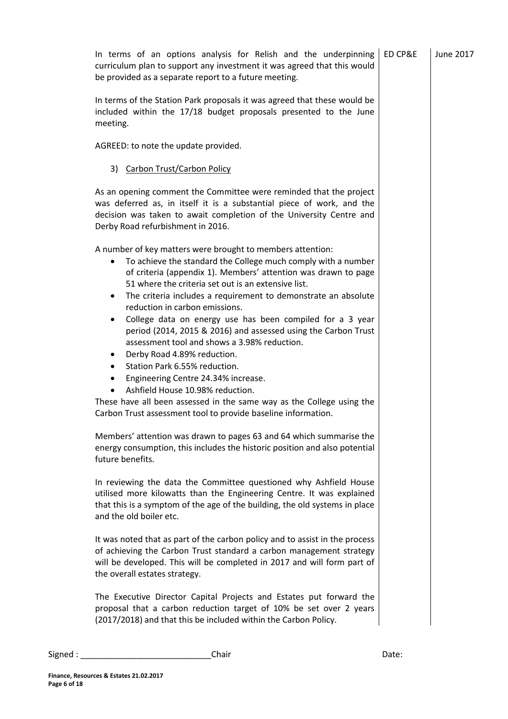|         | In terms of an options analysis for Relish and the underpinning<br>curriculum plan to support any investment it was agreed that this would                                                                                                                                                                                                                                                                                                                                                                                                                                                                                                                                                                                                                                                                                                                                                                                                                                                                                                                                                                                                                                                                                                                                                                                                                                                                                                                                                                                                                                       | ED CP&E | June 2017 |
|---------|----------------------------------------------------------------------------------------------------------------------------------------------------------------------------------------------------------------------------------------------------------------------------------------------------------------------------------------------------------------------------------------------------------------------------------------------------------------------------------------------------------------------------------------------------------------------------------------------------------------------------------------------------------------------------------------------------------------------------------------------------------------------------------------------------------------------------------------------------------------------------------------------------------------------------------------------------------------------------------------------------------------------------------------------------------------------------------------------------------------------------------------------------------------------------------------------------------------------------------------------------------------------------------------------------------------------------------------------------------------------------------------------------------------------------------------------------------------------------------------------------------------------------------------------------------------------------------|---------|-----------|
|         | be provided as a separate report to a future meeting.                                                                                                                                                                                                                                                                                                                                                                                                                                                                                                                                                                                                                                                                                                                                                                                                                                                                                                                                                                                                                                                                                                                                                                                                                                                                                                                                                                                                                                                                                                                            |         |           |
|         | In terms of the Station Park proposals it was agreed that these would be<br>included within the 17/18 budget proposals presented to the June<br>meeting.                                                                                                                                                                                                                                                                                                                                                                                                                                                                                                                                                                                                                                                                                                                                                                                                                                                                                                                                                                                                                                                                                                                                                                                                                                                                                                                                                                                                                         |         |           |
|         | AGREED: to note the update provided.                                                                                                                                                                                                                                                                                                                                                                                                                                                                                                                                                                                                                                                                                                                                                                                                                                                                                                                                                                                                                                                                                                                                                                                                                                                                                                                                                                                                                                                                                                                                             |         |           |
|         | 3) Carbon Trust/Carbon Policy                                                                                                                                                                                                                                                                                                                                                                                                                                                                                                                                                                                                                                                                                                                                                                                                                                                                                                                                                                                                                                                                                                                                                                                                                                                                                                                                                                                                                                                                                                                                                    |         |           |
|         | As an opening comment the Committee were reminded that the project<br>was deferred as, in itself it is a substantial piece of work, and the<br>decision was taken to await completion of the University Centre and<br>Derby Road refurbishment in 2016.                                                                                                                                                                                                                                                                                                                                                                                                                                                                                                                                                                                                                                                                                                                                                                                                                                                                                                                                                                                                                                                                                                                                                                                                                                                                                                                          |         |           |
|         | A number of key matters were brought to members attention:<br>To achieve the standard the College much comply with a number<br>of criteria (appendix 1). Members' attention was drawn to page<br>51 where the criteria set out is an extensive list.<br>The criteria includes a requirement to demonstrate an absolute<br>٠<br>reduction in carbon emissions.<br>College data on energy use has been compiled for a 3 year<br>$\bullet$<br>period (2014, 2015 & 2016) and assessed using the Carbon Trust<br>assessment tool and shows a 3.98% reduction.<br>Derby Road 4.89% reduction.<br>٠<br>Station Park 6.55% reduction.<br>$\bullet$<br>Engineering Centre 24.34% increase.<br>$\bullet$<br>Ashfield House 10.98% reduction.<br>These have all been assessed in the same way as the College using the<br>Carbon Trust assessment tool to provide baseline information.<br>Members' attention was drawn to pages 63 and 64 which summarise the<br>energy consumption, this includes the historic position and also potential<br>future benefits.<br>In reviewing the data the Committee questioned why Ashfield House<br>utilised more kilowatts than the Engineering Centre. It was explained<br>that this is a symptom of the age of the building, the old systems in place<br>and the old boiler etc.<br>It was noted that as part of the carbon policy and to assist in the process<br>of achieving the Carbon Trust standard a carbon management strategy<br>will be developed. This will be completed in 2017 and will form part of<br>the overall estates strategy. |         |           |
|         | The Executive Director Capital Projects and Estates put forward the<br>proposal that a carbon reduction target of 10% be set over 2 years<br>(2017/2018) and that this be included within the Carbon Policy.                                                                                                                                                                                                                                                                                                                                                                                                                                                                                                                                                                                                                                                                                                                                                                                                                                                                                                                                                                                                                                                                                                                                                                                                                                                                                                                                                                     |         |           |
|         |                                                                                                                                                                                                                                                                                                                                                                                                                                                                                                                                                                                                                                                                                                                                                                                                                                                                                                                                                                                                                                                                                                                                                                                                                                                                                                                                                                                                                                                                                                                                                                                  |         |           |
| Signed: | Chair                                                                                                                                                                                                                                                                                                                                                                                                                                                                                                                                                                                                                                                                                                                                                                                                                                                                                                                                                                                                                                                                                                                                                                                                                                                                                                                                                                                                                                                                                                                                                                            | Date:   |           |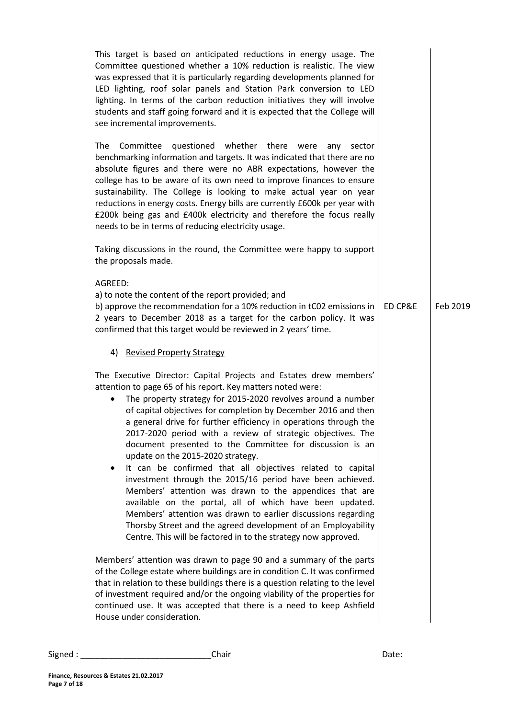| This target is based on anticipated reductions in energy usage. The<br>Committee questioned whether a 10% reduction is realistic. The view<br>was expressed that it is particularly regarding developments planned for<br>LED lighting, roof solar panels and Station Park conversion to LED<br>lighting. In terms of the carbon reduction initiatives they will involve<br>students and staff going forward and it is expected that the College will<br>see incremental improvements.<br><b>The</b><br>questioned whether there were<br>Committee<br>any<br>sector<br>benchmarking information and targets. It was indicated that there are no<br>absolute figures and there were no ABR expectations, however the<br>college has to be aware of its own need to improve finances to ensure<br>sustainability. The College is looking to make actual year on year<br>reductions in energy costs. Energy bills are currently £600k per year with<br>£200k being gas and £400k electricity and therefore the focus really<br>needs to be in terms of reducing electricity usage.<br>Taking discussions in the round, the Committee were happy to support<br>the proposals made.<br>AGREED: |         |          |
|-------------------------------------------------------------------------------------------------------------------------------------------------------------------------------------------------------------------------------------------------------------------------------------------------------------------------------------------------------------------------------------------------------------------------------------------------------------------------------------------------------------------------------------------------------------------------------------------------------------------------------------------------------------------------------------------------------------------------------------------------------------------------------------------------------------------------------------------------------------------------------------------------------------------------------------------------------------------------------------------------------------------------------------------------------------------------------------------------------------------------------------------------------------------------------------------|---------|----------|
| a) to note the content of the report provided; and<br>b) approve the recommendation for a 10% reduction in tC02 emissions in<br>2 years to December 2018 as a target for the carbon policy. It was<br>confirmed that this target would be reviewed in 2 years' time.                                                                                                                                                                                                                                                                                                                                                                                                                                                                                                                                                                                                                                                                                                                                                                                                                                                                                                                      | ED CP&E | Feb 2019 |
| 4) Revised Property Strategy<br>The Executive Director: Capital Projects and Estates drew members'<br>attention to page 65 of his report. Key matters noted were:<br>The property strategy for 2015-2020 revolves around a number<br>٠<br>of capital objectives for completion by December 2016 and then<br>a general drive for further efficiency in operations through the<br>2017-2020 period with a review of strategic objectives. The<br>document presented to the Committee for discussion is an<br>update on the 2015-2020 strategy.<br>It can be confirmed that all objectives related to capital<br>٠<br>investment through the 2015/16 period have been achieved.<br>Members' attention was drawn to the appendices that are<br>available on the portal, all of which have been updated.<br>Members' attention was drawn to earlier discussions regarding<br>Thorsby Street and the agreed development of an Employability<br>Centre. This will be factored in to the strategy now approved.<br>Members' attention was drawn to page 90 and a summary of the parts                                                                                                             |         |          |
| of the College estate where buildings are in condition C. It was confirmed<br>that in relation to these buildings there is a question relating to the level<br>of investment required and/or the ongoing viability of the properties for<br>continued use. It was accepted that there is a need to keep Ashfield<br>House under consideration.                                                                                                                                                                                                                                                                                                                                                                                                                                                                                                                                                                                                                                                                                                                                                                                                                                            |         |          |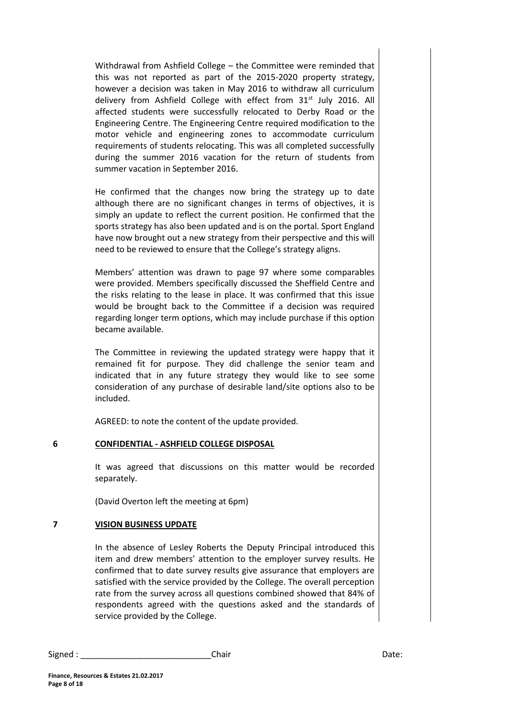Withdrawal from Ashfield College – the Committee were reminded that this was not reported as part of the 2015-2020 property strategy, however a decision was taken in May 2016 to withdraw all curriculum delivery from Ashfield College with effect from 31<sup>st</sup> July 2016. All affected students were successfully relocated to Derby Road or the Engineering Centre. The Engineering Centre required modification to the motor vehicle and engineering zones to accommodate curriculum requirements of students relocating. This was all completed successfully during the summer 2016 vacation for the return of students from summer vacation in September 2016.

He confirmed that the changes now bring the strategy up to date although there are no significant changes in terms of objectives, it is simply an update to reflect the current position. He confirmed that the sports strategy has also been updated and is on the portal. Sport England have now brought out a new strategy from their perspective and this will need to be reviewed to ensure that the College's strategy aligns.

Members' attention was drawn to page 97 where some comparables were provided. Members specifically discussed the Sheffield Centre and the risks relating to the lease in place. It was confirmed that this issue would be brought back to the Committee if a decision was required regarding longer term options, which may include purchase if this option became available.

The Committee in reviewing the updated strategy were happy that it remained fit for purpose. They did challenge the senior team and indicated that in any future strategy they would like to see some consideration of any purchase of desirable land/site options also to be included.

AGREED: to note the content of the update provided.

## **6 CONFIDENTIAL - ASHFIELD COLLEGE DISPOSAL**

It was agreed that discussions on this matter would be recorded separately.

(David Overton left the meeting at 6pm)

## **7 VISION BUSINESS UPDATE**

In the absence of Lesley Roberts the Deputy Principal introduced this item and drew members' attention to the employer survey results. He confirmed that to date survey results give assurance that employers are satisfied with the service provided by the College. The overall perception rate from the survey across all questions combined showed that 84% of respondents agreed with the questions asked and the standards of service provided by the College.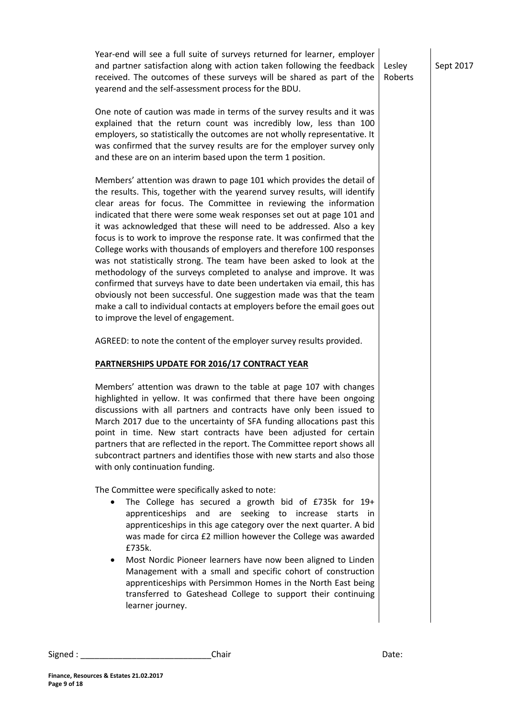Year-end will see a full suite of surveys returned for learner, employer and partner satisfaction along with action taken following the feedback received. The outcomes of these surveys will be shared as part of the yearend and the self-assessment process for the BDU. Lesley

One note of caution was made in terms of the survey results and it was explained that the return count was incredibly low, less than 100 employers, so statistically the outcomes are not wholly representative. It was confirmed that the survey results are for the employer survey only and these are on an interim based upon the term 1 position.

Members' attention was drawn to page 101 which provides the detail of the results. This, together with the yearend survey results, will identify clear areas for focus. The Committee in reviewing the information indicated that there were some weak responses set out at page 101 and it was acknowledged that these will need to be addressed. Also a key focus is to work to improve the response rate. It was confirmed that the College works with thousands of employers and therefore 100 responses was not statistically strong. The team have been asked to look at the methodology of the surveys completed to analyse and improve. It was confirmed that surveys have to date been undertaken via email, this has obviously not been successful. One suggestion made was that the team make a call to individual contacts at employers before the email goes out to improve the level of engagement.

AGREED: to note the content of the employer survey results provided.

#### **PARTNERSHIPS UPDATE FOR 2016/17 CONTRACT YEAR**

Members' attention was drawn to the table at page 107 with changes highlighted in yellow. It was confirmed that there have been ongoing discussions with all partners and contracts have only been issued to March 2017 due to the uncertainty of SFA funding allocations past this point in time. New start contracts have been adjusted for certain partners that are reflected in the report. The Committee report shows all subcontract partners and identifies those with new starts and also those with only continuation funding.

The Committee were specifically asked to note:

- The College has secured a growth bid of £735k for 19+ apprenticeships and are seeking to increase starts in apprenticeships in this age category over the next quarter. A bid was made for circa £2 million however the College was awarded £735k.
- Most Nordic Pioneer learners have now been aligned to Linden Management with a small and specific cohort of construction apprenticeships with Persimmon Homes in the North East being transferred to Gateshead College to support their continuing learner journey.

**Finance, Resources & Estates 21.02.2017**

**Page 9 of 18**

Sept 2017

Roberts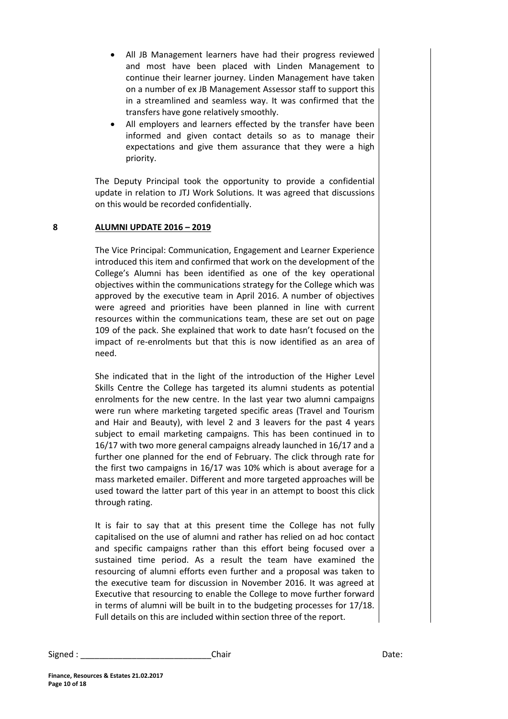- All JB Management learners have had their progress reviewed and most have been placed with Linden Management to continue their learner journey. Linden Management have taken on a number of ex JB Management Assessor staff to support this in a streamlined and seamless way. It was confirmed that the transfers have gone relatively smoothly.
- All employers and learners effected by the transfer have been informed and given contact details so as to manage their expectations and give them assurance that they were a high priority.

The Deputy Principal took the opportunity to provide a confidential update in relation to JTJ Work Solutions. It was agreed that discussions on this would be recorded confidentially.

## **8 ALUMNI UPDATE 2016 – 2019**

The Vice Principal: Communication, Engagement and Learner Experience introduced this item and confirmed that work on the development of the College's Alumni has been identified as one of the key operational objectives within the communications strategy for the College which was approved by the executive team in April 2016. A number of objectives were agreed and priorities have been planned in line with current resources within the communications team, these are set out on page 109 of the pack. She explained that work to date hasn't focused on the impact of re-enrolments but that this is now identified as an area of need.

She indicated that in the light of the introduction of the Higher Level Skills Centre the College has targeted its alumni students as potential enrolments for the new centre. In the last year two alumni campaigns were run where marketing targeted specific areas (Travel and Tourism and Hair and Beauty), with level 2 and 3 leavers for the past 4 years subject to email marketing campaigns. This has been continued in to 16/17 with two more general campaigns already launched in 16/17 and a further one planned for the end of February. The click through rate for the first two campaigns in 16/17 was 10% which is about average for a mass marketed emailer. Different and more targeted approaches will be used toward the latter part of this year in an attempt to boost this click through rating.

It is fair to say that at this present time the College has not fully capitalised on the use of alumni and rather has relied on ad hoc contact and specific campaigns rather than this effort being focused over a sustained time period. As a result the team have examined the resourcing of alumni efforts even further and a proposal was taken to the executive team for discussion in November 2016. It was agreed at Executive that resourcing to enable the College to move further forward in terms of alumni will be built in to the budgeting processes for 17/18. Full details on this are included within section three of the report.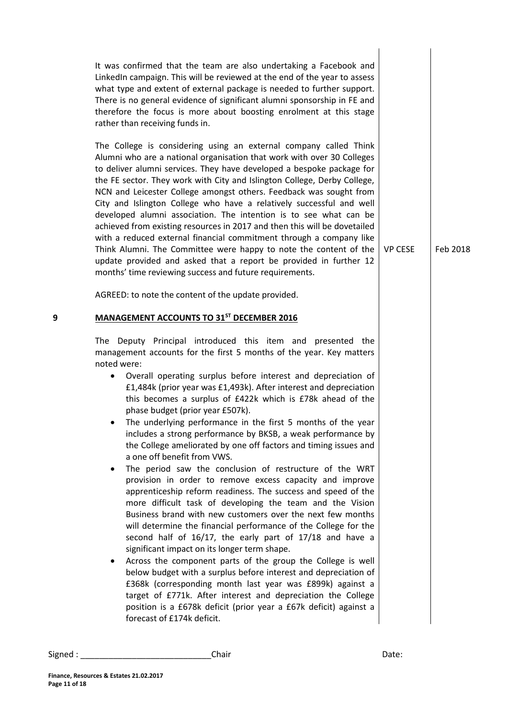|   | It was confirmed that the team are also undertaking a Facebook and<br>LinkedIn campaign. This will be reviewed at the end of the year to assess<br>what type and extent of external package is needed to further support.<br>There is no general evidence of significant alumni sponsorship in FE and<br>therefore the focus is more about boosting enrolment at this stage<br>rather than receiving funds in.                                                                                                                                                                                                                                                                                                                                                                                                                                                                                                                                                                                                                                                                                                                                                                                                                                                                                                                                                                                                                                                                                                             |                |          |
|---|----------------------------------------------------------------------------------------------------------------------------------------------------------------------------------------------------------------------------------------------------------------------------------------------------------------------------------------------------------------------------------------------------------------------------------------------------------------------------------------------------------------------------------------------------------------------------------------------------------------------------------------------------------------------------------------------------------------------------------------------------------------------------------------------------------------------------------------------------------------------------------------------------------------------------------------------------------------------------------------------------------------------------------------------------------------------------------------------------------------------------------------------------------------------------------------------------------------------------------------------------------------------------------------------------------------------------------------------------------------------------------------------------------------------------------------------------------------------------------------------------------------------------|----------------|----------|
|   | The College is considering using an external company called Think<br>Alumni who are a national organisation that work with over 30 Colleges<br>to deliver alumni services. They have developed a bespoke package for<br>the FE sector. They work with City and Islington College, Derby College,<br>NCN and Leicester College amongst others. Feedback was sought from<br>City and Islington College who have a relatively successful and well<br>developed alumni association. The intention is to see what can be<br>achieved from existing resources in 2017 and then this will be dovetailed<br>with a reduced external financial commitment through a company like<br>Think Alumni. The Committee were happy to note the content of the<br>update provided and asked that a report be provided in further 12<br>months' time reviewing success and future requirements.                                                                                                                                                                                                                                                                                                                                                                                                                                                                                                                                                                                                                                               | <b>VP CESE</b> | Feb 2018 |
|   | AGREED: to note the content of the update provided.                                                                                                                                                                                                                                                                                                                                                                                                                                                                                                                                                                                                                                                                                                                                                                                                                                                                                                                                                                                                                                                                                                                                                                                                                                                                                                                                                                                                                                                                        |                |          |
| 9 | <b>MANAGEMENT ACCOUNTS TO 31ST DECEMBER 2016</b>                                                                                                                                                                                                                                                                                                                                                                                                                                                                                                                                                                                                                                                                                                                                                                                                                                                                                                                                                                                                                                                                                                                                                                                                                                                                                                                                                                                                                                                                           |                |          |
|   | The Deputy Principal introduced this item and presented the<br>management accounts for the first 5 months of the year. Key matters<br>noted were:<br>Overall operating surplus before interest and depreciation of<br>$\bullet$<br>£1,484k (prior year was £1,493k). After interest and depreciation<br>this becomes a surplus of £422k which is £78k ahead of the<br>phase budget (prior year £507k).<br>The underlying performance in the first 5 months of the year<br>includes a strong performance by BKSB, a weak performance by<br>the College ameliorated by one off factors and timing issues and<br>a one off benefit from VWS.<br>The period saw the conclusion of restructure of the WRT<br>$\bullet$<br>provision in order to remove excess capacity and improve<br>apprenticeship reform readiness. The success and speed of the<br>more difficult task of developing the team and the Vision<br>Business brand with new customers over the next few months<br>will determine the financial performance of the College for the<br>second half of 16/17, the early part of 17/18 and have a<br>significant impact on its longer term shape.<br>Across the component parts of the group the College is well<br>below budget with a surplus before interest and depreciation of<br>£368k (corresponding month last year was £899k) against a<br>target of £771k. After interest and depreciation the College<br>position is a £678k deficit (prior year a £67k deficit) against a<br>forecast of £174k deficit. |                |          |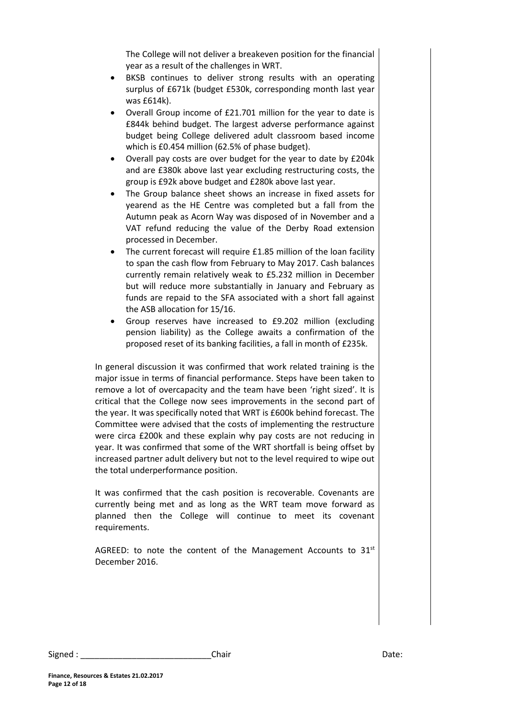The College will not deliver a breakeven position for the financial year as a result of the challenges in WRT.

- BKSB continues to deliver strong results with an operating surplus of £671k (budget £530k, corresponding month last year was £614k).
- Overall Group income of £21.701 million for the year to date is £844k behind budget. The largest adverse performance against budget being College delivered adult classroom based income which is £0.454 million (62.5% of phase budget).
- Overall pay costs are over budget for the year to date by £204k and are £380k above last year excluding restructuring costs, the group is £92k above budget and £280k above last year.
- The Group balance sheet shows an increase in fixed assets for yearend as the HE Centre was completed but a fall from the Autumn peak as Acorn Way was disposed of in November and a VAT refund reducing the value of the Derby Road extension processed in December.
- The current forecast will require £1.85 million of the loan facility to span the cash flow from February to May 2017. Cash balances currently remain relatively weak to £5.232 million in December but will reduce more substantially in January and February as funds are repaid to the SFA associated with a short fall against the ASB allocation for 15/16.
- Group reserves have increased to £9.202 million (excluding pension liability) as the College awaits a confirmation of the proposed reset of its banking facilities, a fall in month of £235k.

In general discussion it was confirmed that work related training is the major issue in terms of financial performance. Steps have been taken to remove a lot of overcapacity and the team have been 'right sized'. It is critical that the College now sees improvements in the second part of the year. It was specifically noted that WRT is £600k behind forecast. The Committee were advised that the costs of implementing the restructure were circa £200k and these explain why pay costs are not reducing in year. It was confirmed that some of the WRT shortfall is being offset by increased partner adult delivery but not to the level required to wipe out the total underperformance position.

It was confirmed that the cash position is recoverable. Covenants are currently being met and as long as the WRT team move forward as planned then the College will continue to meet its covenant requirements.

AGREED: to note the content of the Management Accounts to  $31<sup>st</sup>$ December 2016.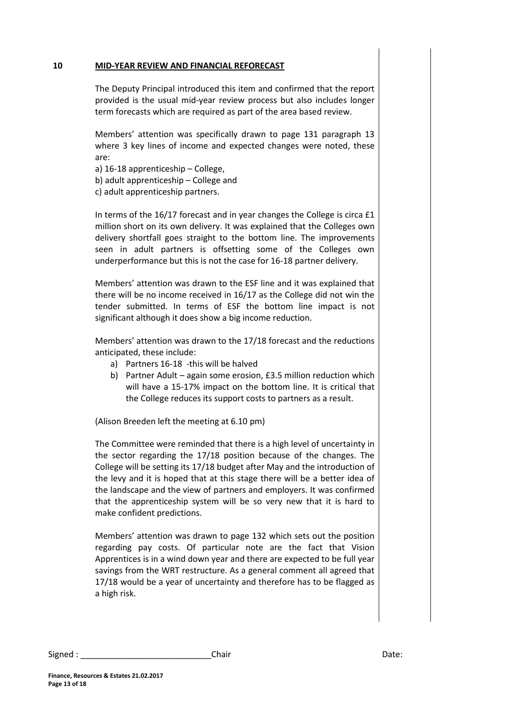#### **10 MID-YEAR REVIEW AND FINANCIAL REFORECAST**

The Deputy Principal introduced this item and confirmed that the report provided is the usual mid-year review process but also includes longer term forecasts which are required as part of the area based review.

Members' attention was specifically drawn to page 131 paragraph 13 where 3 key lines of income and expected changes were noted, these are:

- a) 16-18 apprenticeship College,
- b) adult apprenticeship College and
- c) adult apprenticeship partners.

In terms of the 16/17 forecast and in year changes the College is circa £1 million short on its own delivery. It was explained that the Colleges own delivery shortfall goes straight to the bottom line. The improvements seen in adult partners is offsetting some of the Colleges own underperformance but this is not the case for 16-18 partner delivery.

Members' attention was drawn to the ESF line and it was explained that there will be no income received in 16/17 as the College did not win the tender submitted. In terms of ESF the bottom line impact is not significant although it does show a big income reduction.

Members' attention was drawn to the 17/18 forecast and the reductions anticipated, these include:

- a) Partners 16-18 -this will be halved
- b) Partner Adult again some erosion, £3.5 million reduction which will have a 15-17% impact on the bottom line. It is critical that the College reduces its support costs to partners as a result.

(Alison Breeden left the meeting at 6.10 pm)

The Committee were reminded that there is a high level of uncertainty in the sector regarding the 17/18 position because of the changes. The College will be setting its 17/18 budget after May and the introduction of the levy and it is hoped that at this stage there will be a better idea of the landscape and the view of partners and employers. It was confirmed that the apprenticeship system will be so very new that it is hard to make confident predictions.

Members' attention was drawn to page 132 which sets out the position regarding pay costs. Of particular note are the fact that Vision Apprentices is in a wind down year and there are expected to be full year savings from the WRT restructure. As a general comment all agreed that 17/18 would be a year of uncertainty and therefore has to be flagged as a high risk.

Signed : \_\_\_\_\_\_\_\_\_\_\_\_\_\_\_\_\_\_\_\_\_\_\_\_\_\_\_\_\_\_\_\_\_Chair \_\_\_\_\_\_\_\_\_\_\_\_\_\_\_\_\_\_\_\_\_\_\_\_\_\_\_\_\_\_\_\_Date: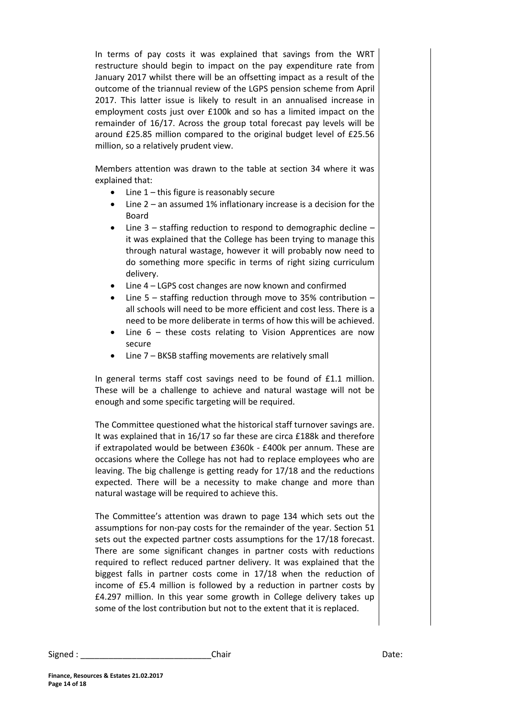In terms of pay costs it was explained that savings from the WRT restructure should begin to impact on the pay expenditure rate from January 2017 whilst there will be an offsetting impact as a result of the outcome of the triannual review of the LGPS pension scheme from April 2017. This latter issue is likely to result in an annualised increase in employment costs just over £100k and so has a limited impact on the remainder of 16/17. Across the group total forecast pay levels will be around £25.85 million compared to the original budget level of £25.56 million, so a relatively prudent view.

Members attention was drawn to the table at section 34 where it was explained that:

- $\bullet$  Line 1 this figure is reasonably secure
- Line 2 an assumed 1% inflationary increase is a decision for the Board
- Line 3 staffing reduction to respond to demographic decline it was explained that the College has been trying to manage this through natural wastage, however it will probably now need to do something more specific in terms of right sizing curriculum delivery.
- Line 4 LGPS cost changes are now known and confirmed
- Line 5 staffing reduction through move to 35% contribution all schools will need to be more efficient and cost less. There is a need to be more deliberate in terms of how this will be achieved.
- Line 6 these costs relating to Vision Apprentices are now secure
- Line 7 BKSB staffing movements are relatively small

In general terms staff cost savings need to be found of £1.1 million. These will be a challenge to achieve and natural wastage will not be enough and some specific targeting will be required.

The Committee questioned what the historical staff turnover savings are. It was explained that in 16/17 so far these are circa £188k and therefore if extrapolated would be between £360k - £400k per annum. These are occasions where the College has not had to replace employees who are leaving. The big challenge is getting ready for 17/18 and the reductions expected. There will be a necessity to make change and more than natural wastage will be required to achieve this.

The Committee's attention was drawn to page 134 which sets out the assumptions for non-pay costs for the remainder of the year. Section 51 sets out the expected partner costs assumptions for the 17/18 forecast. There are some significant changes in partner costs with reductions required to reflect reduced partner delivery. It was explained that the biggest falls in partner costs come in 17/18 when the reduction of income of £5.4 million is followed by a reduction in partner costs by £4.297 million. In this year some growth in College delivery takes up some of the lost contribution but not to the extent that it is replaced.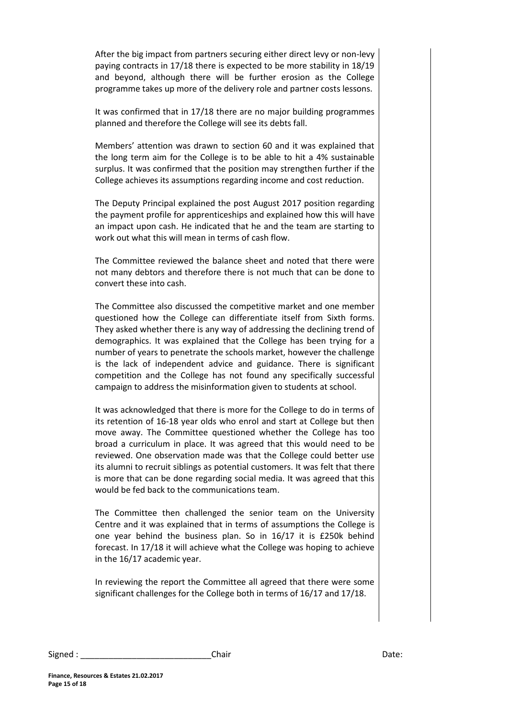After the big impact from partners securing either direct levy or non-levy paying contracts in 17/18 there is expected to be more stability in 18/19 and beyond, although there will be further erosion as the College programme takes up more of the delivery role and partner costs lessons.

It was confirmed that in 17/18 there are no major building programmes planned and therefore the College will see its debts fall.

Members' attention was drawn to section 60 and it was explained that the long term aim for the College is to be able to hit a 4% sustainable surplus. It was confirmed that the position may strengthen further if the College achieves its assumptions regarding income and cost reduction.

The Deputy Principal explained the post August 2017 position regarding the payment profile for apprenticeships and explained how this will have an impact upon cash. He indicated that he and the team are starting to work out what this will mean in terms of cash flow.

The Committee reviewed the balance sheet and noted that there were not many debtors and therefore there is not much that can be done to convert these into cash.

The Committee also discussed the competitive market and one member questioned how the College can differentiate itself from Sixth forms. They asked whether there is any way of addressing the declining trend of demographics. It was explained that the College has been trying for a number of years to penetrate the schools market, however the challenge is the lack of independent advice and guidance. There is significant competition and the College has not found any specifically successful campaign to address the misinformation given to students at school.

It was acknowledged that there is more for the College to do in terms of its retention of 16-18 year olds who enrol and start at College but then move away. The Committee questioned whether the College has too broad a curriculum in place. It was agreed that this would need to be reviewed. One observation made was that the College could better use its alumni to recruit siblings as potential customers. It was felt that there is more that can be done regarding social media. It was agreed that this would be fed back to the communications team.

The Committee then challenged the senior team on the University Centre and it was explained that in terms of assumptions the College is one year behind the business plan. So in 16/17 it is £250k behind forecast. In 17/18 it will achieve what the College was hoping to achieve in the 16/17 academic year.

In reviewing the report the Committee all agreed that there were some significant challenges for the College both in terms of 16/17 and 17/18.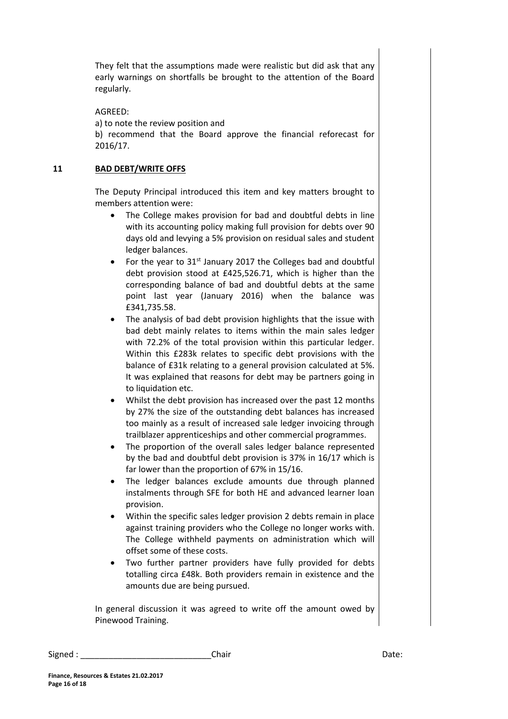They felt that the assumptions made were realistic but did ask that any early warnings on shortfalls be brought to the attention of the Board regularly.

AGREED: a) to note the review position and b) recommend that the Board approve the financial reforecast for 2016/17.

#### **11 BAD DEBT/WRITE OFFS**

The Deputy Principal introduced this item and key matters brought to members attention were:

- The College makes provision for bad and doubtful debts in line with its accounting policy making full provision for debts over 90 days old and levying a 5% provision on residual sales and student ledger balances.
- For the year to  $31<sup>st</sup>$  January 2017 the Colleges bad and doubtful debt provision stood at £425,526.71, which is higher than the corresponding balance of bad and doubtful debts at the same point last year (January 2016) when the balance was £341,735.58.
- The analysis of bad debt provision highlights that the issue with bad debt mainly relates to items within the main sales ledger with 72.2% of the total provision within this particular ledger. Within this £283k relates to specific debt provisions with the balance of £31k relating to a general provision calculated at 5%. It was explained that reasons for debt may be partners going in to liquidation etc.
- Whilst the debt provision has increased over the past 12 months by 27% the size of the outstanding debt balances has increased too mainly as a result of increased sale ledger invoicing through trailblazer apprenticeships and other commercial programmes.
- The proportion of the overall sales ledger balance represented by the bad and doubtful debt provision is 37% in 16/17 which is far lower than the proportion of 67% in 15/16.
- The ledger balances exclude amounts due through planned instalments through SFE for both HE and advanced learner loan provision.
- Within the specific sales ledger provision 2 debts remain in place against training providers who the College no longer works with. The College withheld payments on administration which will offset some of these costs.
- Two further partner providers have fully provided for debts totalling circa £48k. Both providers remain in existence and the amounts due are being pursued.

In general discussion it was agreed to write off the amount owed by Pinewood Training.

| Signed | Chair | ,,,,,<br>Dale. |
|--------|-------|----------------|
|--------|-------|----------------|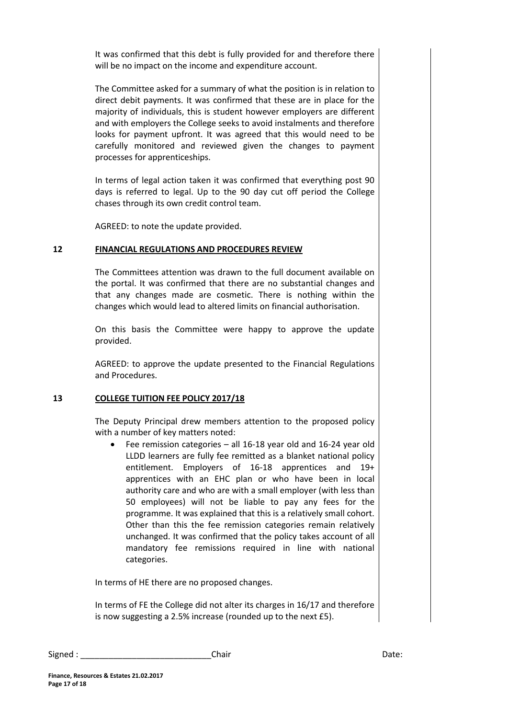It was confirmed that this debt is fully provided for and therefore there will be no impact on the income and expenditure account.

The Committee asked for a summary of what the position is in relation to direct debit payments. It was confirmed that these are in place for the majority of individuals, this is student however employers are different and with employers the College seeks to avoid instalments and therefore looks for payment upfront. It was agreed that this would need to be carefully monitored and reviewed given the changes to payment processes for apprenticeships.

In terms of legal action taken it was confirmed that everything post 90 days is referred to legal. Up to the 90 day cut off period the College chases through its own credit control team.

AGREED: to note the update provided.

#### **12 FINANCIAL REGULATIONS AND PROCEDURES REVIEW**

The Committees attention was drawn to the full document available on the portal. It was confirmed that there are no substantial changes and that any changes made are cosmetic. There is nothing within the changes which would lead to altered limits on financial authorisation.

On this basis the Committee were happy to approve the update provided.

AGREED: to approve the update presented to the Financial Regulations and Procedures.

#### **13 COLLEGE TUITION FEE POLICY 2017/18**

The Deputy Principal drew members attention to the proposed policy with a number of key matters noted:

 Fee remission categories – all 16-18 year old and 16-24 year old LLDD learners are fully fee remitted as a blanket national policy entitlement. Employers of 16-18 apprentices and 19+ apprentices with an EHC plan or who have been in local authority care and who are with a small employer (with less than 50 employees) will not be liable to pay any fees for the programme. It was explained that this is a relatively small cohort. Other than this the fee remission categories remain relatively unchanged. It was confirmed that the policy takes account of all mandatory fee remissions required in line with national categories.

In terms of HE there are no proposed changes.

In terms of FE the College did not alter its charges in 16/17 and therefore is now suggesting a 2.5% increase (rounded up to the next £5).